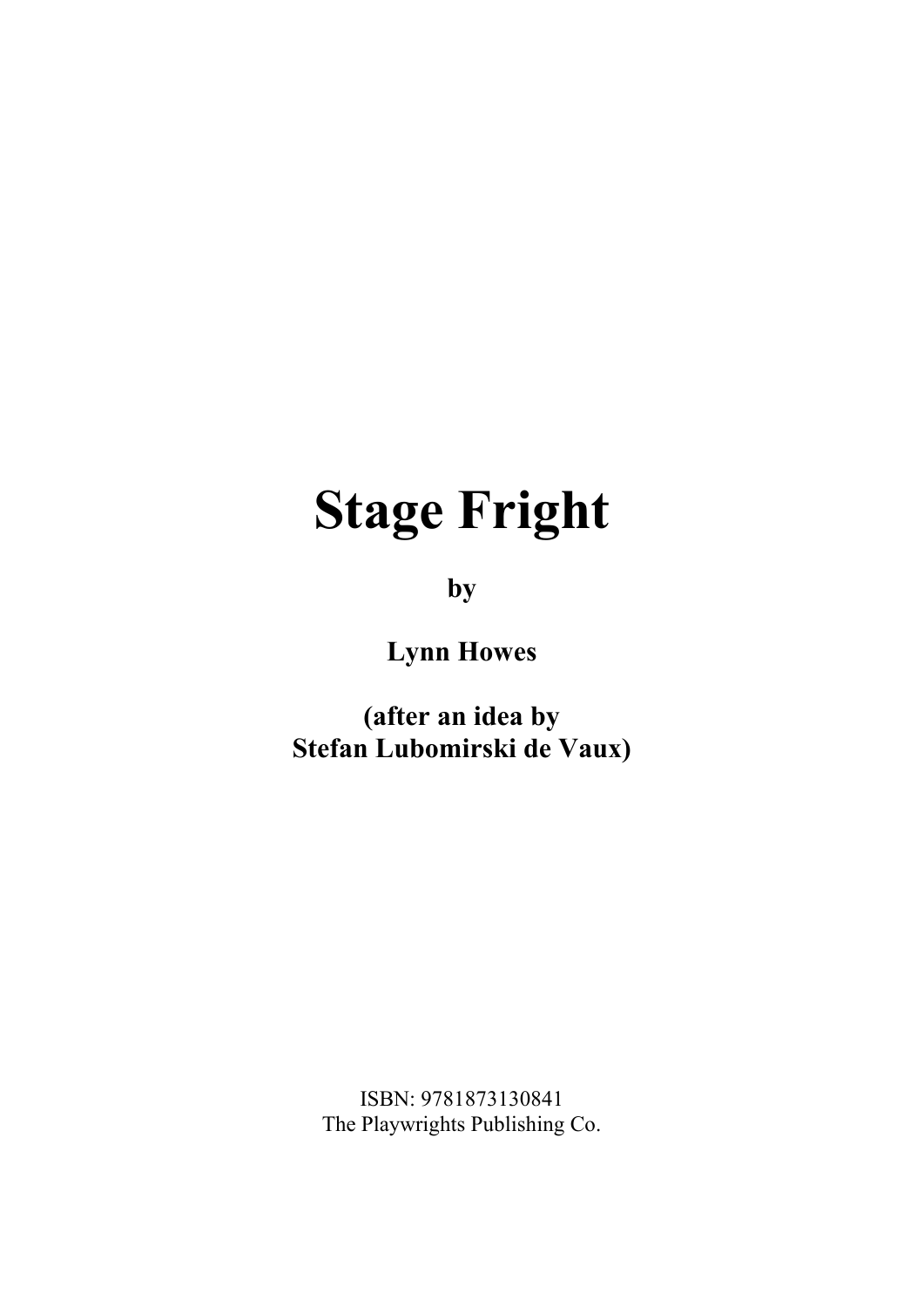# **Stage Fright**

**by**

**Lynn Howes**

**(after an idea by Stefan Lubomirski de Vaux)**

ISBN: 9781873130841 The Playwrights Publishing Co.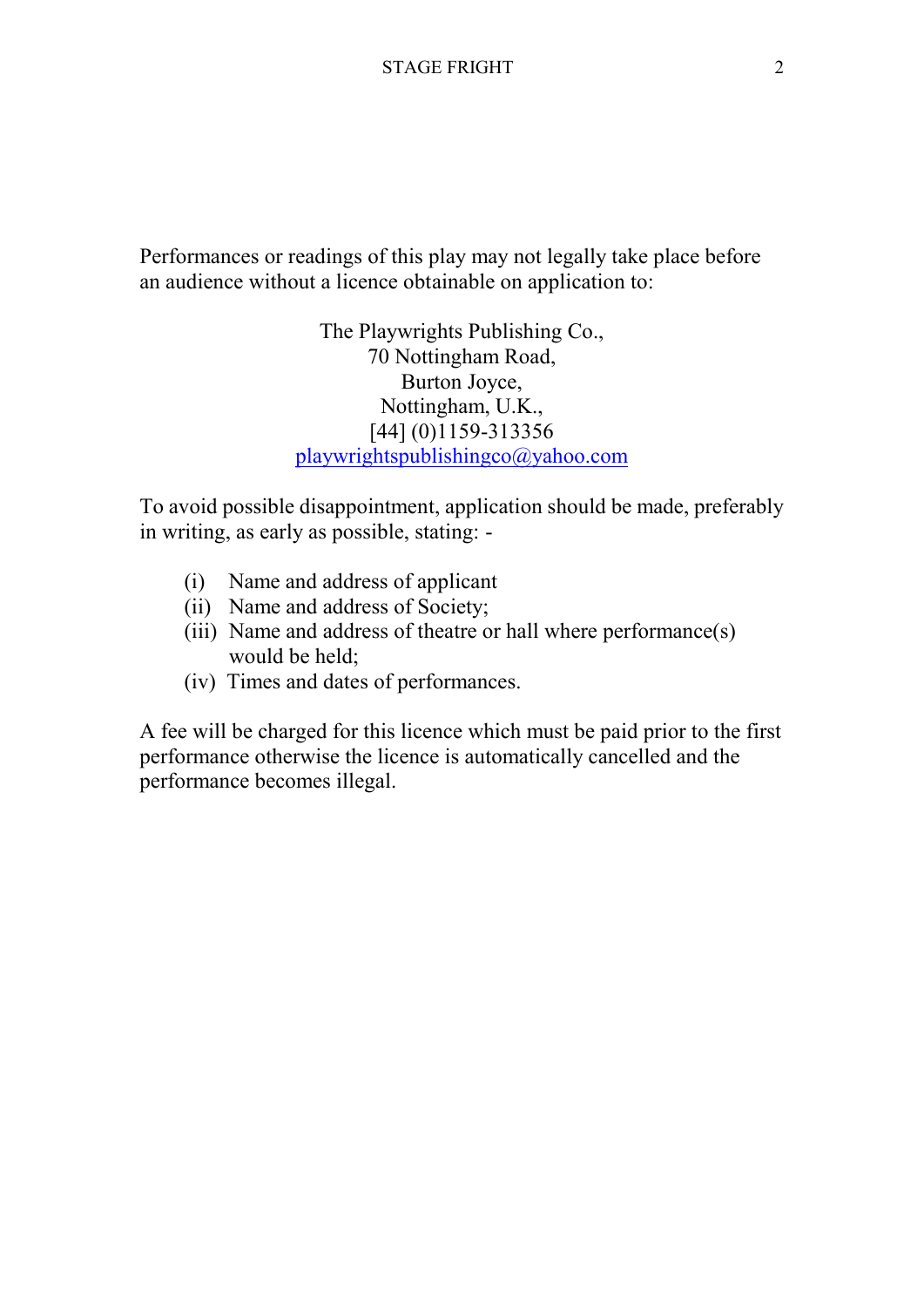Performances or readings of this play may not legally take place before an audience without a licence obtainable on application to:

> The Playwrights Publishing Co., 70 Nottingham Road, Burton Joyce, Nottingham, U.K., [44] (0)1159-313356 playwrightspublishingco@yahoo.com

To avoid possible disappointment, application should be made, preferably in writing, as early as possible, stating: -

- (i) Name and address of applicant
- (ii) Name and address of Society;
- (iii) Name and address of theatre or hall where performance(s) would be held;
- (iv) Times and dates of performances.

A fee will be charged for this licence which must be paid prior to the first performance otherwise the licence is automatically cancelled and the performance becomes illegal.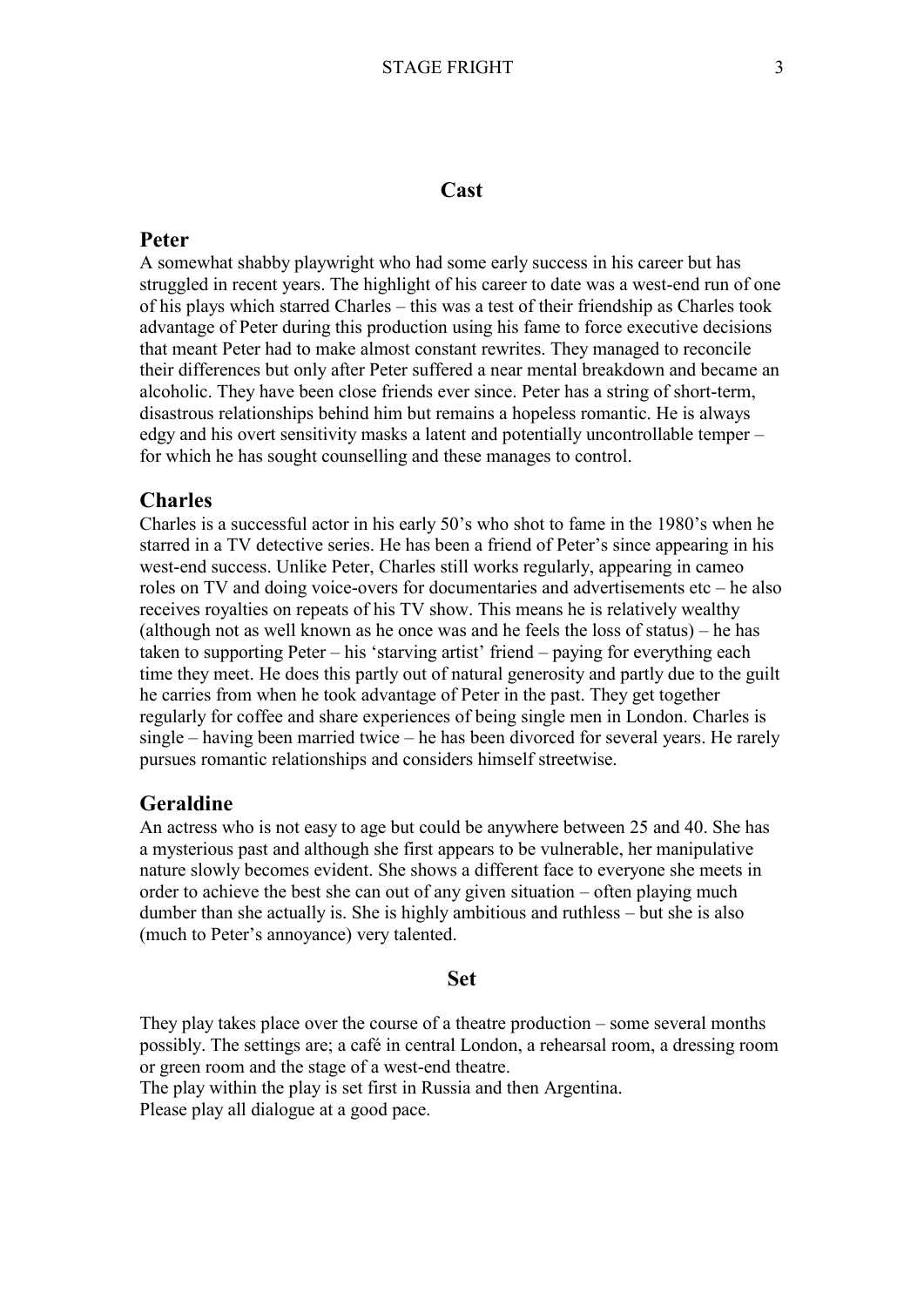#### **Cast**

#### **Peter**

A somewhat shabby playwright who had some early success in his career but has struggled in recent years. The highlight of his career to date was a west-end run of one of his plays which starred Charles – this was a test of their friendship as Charles took advantage of Peter during this production using his fame to force executive decisions that meant Peter had to make almost constant rewrites. They managed to reconcile their differences but only after Peter suffered a near mental breakdown and became an alcoholic. They have been close friends ever since. Peter has a string of short-term, disastrous relationships behind him but remains a hopeless romantic. He is always edgy and his overt sensitivity masks a latent and potentially uncontrollable temper – for which he has sought counselling and these manages to control.

#### **Charles**

Charles is a successful actor in his early 50's who shot to fame in the 1980's when he starred in a TV detective series. He has been a friend of Peter's since appearing in his west-end success. Unlike Peter, Charles still works regularly, appearing in cameo roles on TV and doing voice-overs for documentaries and advertisements etc – he also receives royalties on repeats of his TV show. This means he is relatively wealthy (although not as well known as he once was and he feels the loss of status) – he has taken to supporting Peter – his 'starving artist' friend – paying for everything each time they meet. He does this partly out of natural generosity and partly due to the guilt he carries from when he took advantage of Peter in the past. They get together regularly for coffee and share experiences of being single men in London. Charles is single – having been married twice – he has been divorced for several years. He rarely pursues romantic relationships and considers himself streetwise.

#### **Geraldine**

An actress who is not easy to age but could be anywhere between 25 and 40. She has a mysterious past and although she first appears to be vulnerable, her manipulative nature slowly becomes evident. She shows a different face to everyone she meets in order to achieve the best she can out of any given situation – often playing much dumber than she actually is. She is highly ambitious and ruthless – but she is also (much to Peter's annoyance) very talented.

## **Set**

They play takes place over the course of a theatre production – some several months possibly. The settings are; a café in central London, a rehearsal room, a dressing room or green room and the stage of a west-end theatre.

The play within the play is set first in Russia and then Argentina. Please play all dialogue at a good pace.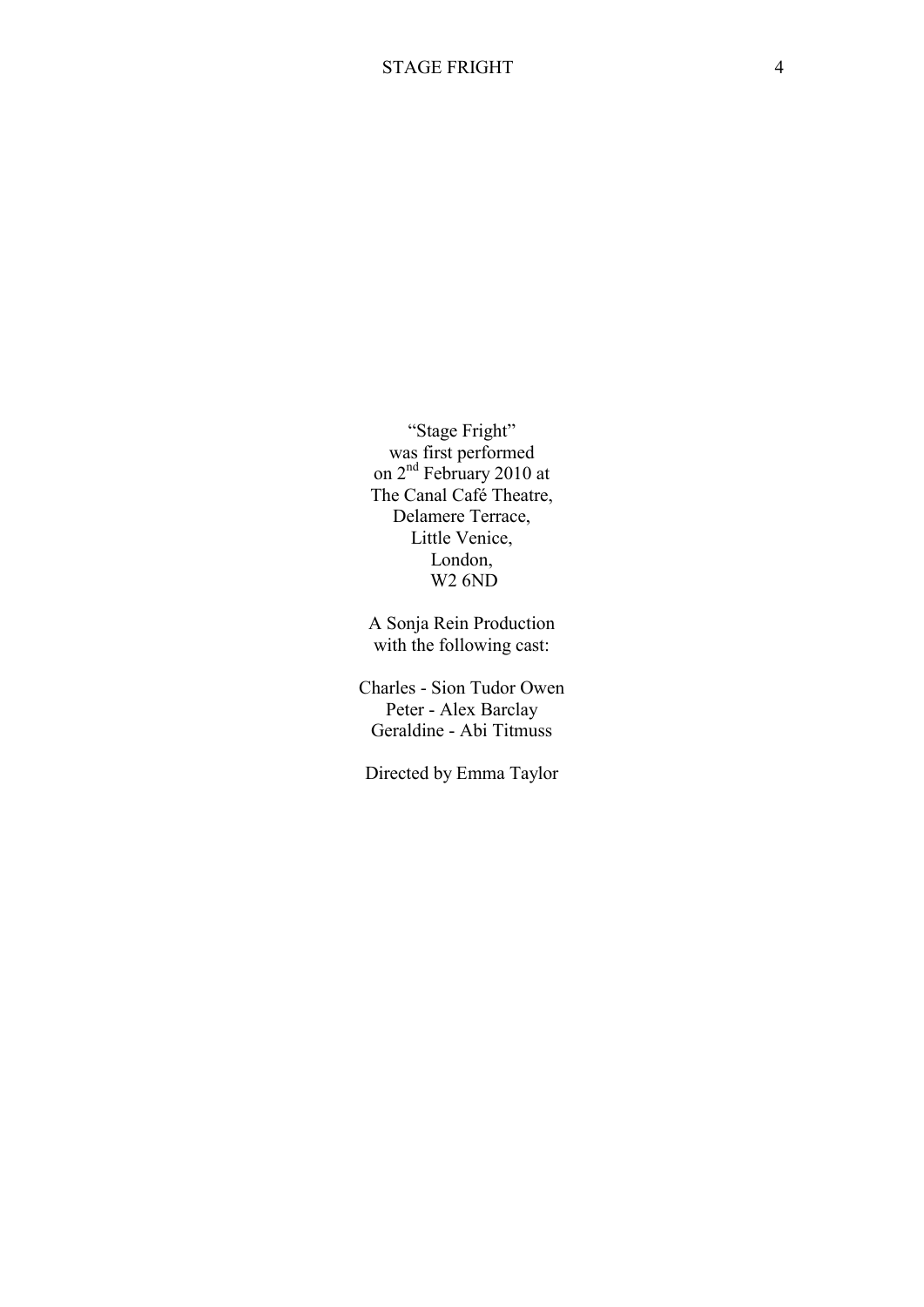"Stage Fright" was first performed on  $2<sup>nd</sup>$  February 2010 at The Canal Café Theatre, Delamere Terrace, Little Venice, London, W2 6ND

A Sonja Rein Production with the following cast:

Charles - Sion Tudor Owen Peter - Alex Barclay Geraldine - Abi Titmuss

Directed by Emma Taylor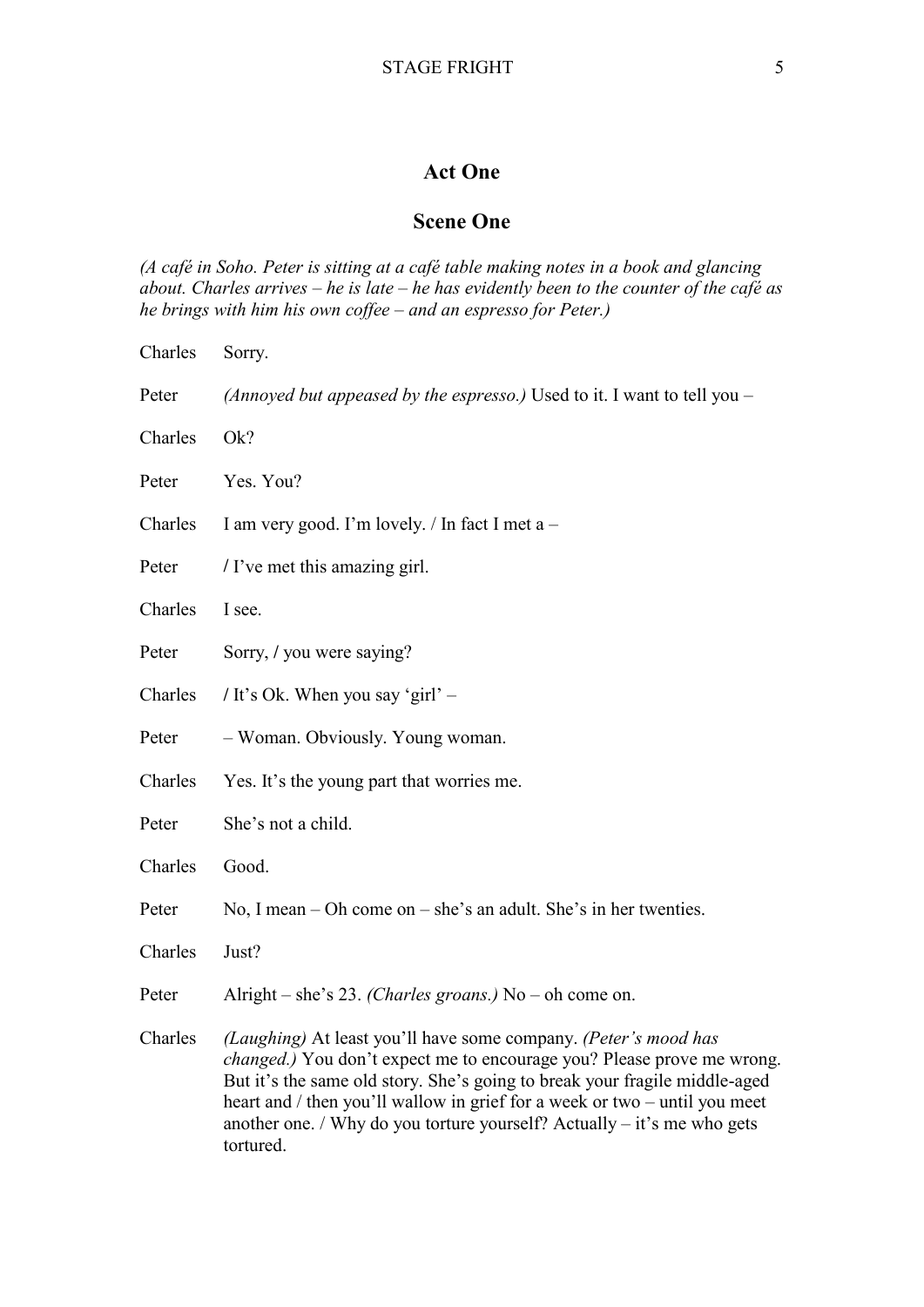## **Act One**

## **Scene One**

*(A café in Soho. Peter is sitting at a café table making notes in a book and glancing about. Charles arrives – he is late – he has evidently been to the counter of the café as he brings with him his own coffee – and an espresso for Peter.)*

| Charles | Sorry.                                                                                                                                                                                                                                                                                                                                                                                          |
|---------|-------------------------------------------------------------------------------------------------------------------------------------------------------------------------------------------------------------------------------------------------------------------------------------------------------------------------------------------------------------------------------------------------|
| Peter   | (Annoyed but appeased by the espresso.) Used to it. I want to tell you $-$                                                                                                                                                                                                                                                                                                                      |
| Charles | Ok?                                                                                                                                                                                                                                                                                                                                                                                             |
| Peter   | Yes. You?                                                                                                                                                                                                                                                                                                                                                                                       |
| Charles | I am very good. I'm lovely. / In fact I met a -                                                                                                                                                                                                                                                                                                                                                 |
| Peter   | / I've met this amazing girl.                                                                                                                                                                                                                                                                                                                                                                   |
| Charles | I see.                                                                                                                                                                                                                                                                                                                                                                                          |
| Peter   | Sorry, / you were saying?                                                                                                                                                                                                                                                                                                                                                                       |
| Charles | / It's Ok. When you say 'girl' –                                                                                                                                                                                                                                                                                                                                                                |
| Peter   | - Woman. Obviously. Young woman.                                                                                                                                                                                                                                                                                                                                                                |
| Charles | Yes. It's the young part that worries me.                                                                                                                                                                                                                                                                                                                                                       |
| Peter   | She's not a child.                                                                                                                                                                                                                                                                                                                                                                              |
| Charles | Good.                                                                                                                                                                                                                                                                                                                                                                                           |
| Peter   | No, I mean $-$ Oh come on $-$ she's an adult. She's in her twenties.                                                                                                                                                                                                                                                                                                                            |
| Charles | Just?                                                                                                                                                                                                                                                                                                                                                                                           |
| Peter   | Alright – she's 23. (Charles groans.) No – oh come on.                                                                                                                                                                                                                                                                                                                                          |
| Charles | (Laughing) At least you'll have some company. (Peter's mood has<br>changed.) You don't expect me to encourage you? Please prove me wrong.<br>But it's the same old story. She's going to break your fragile middle-aged<br>heart and / then you'll wallow in grief for a week or two – until you meet<br>another one. / Why do you torture yourself? Actually $-$ it's me who gets<br>tortured. |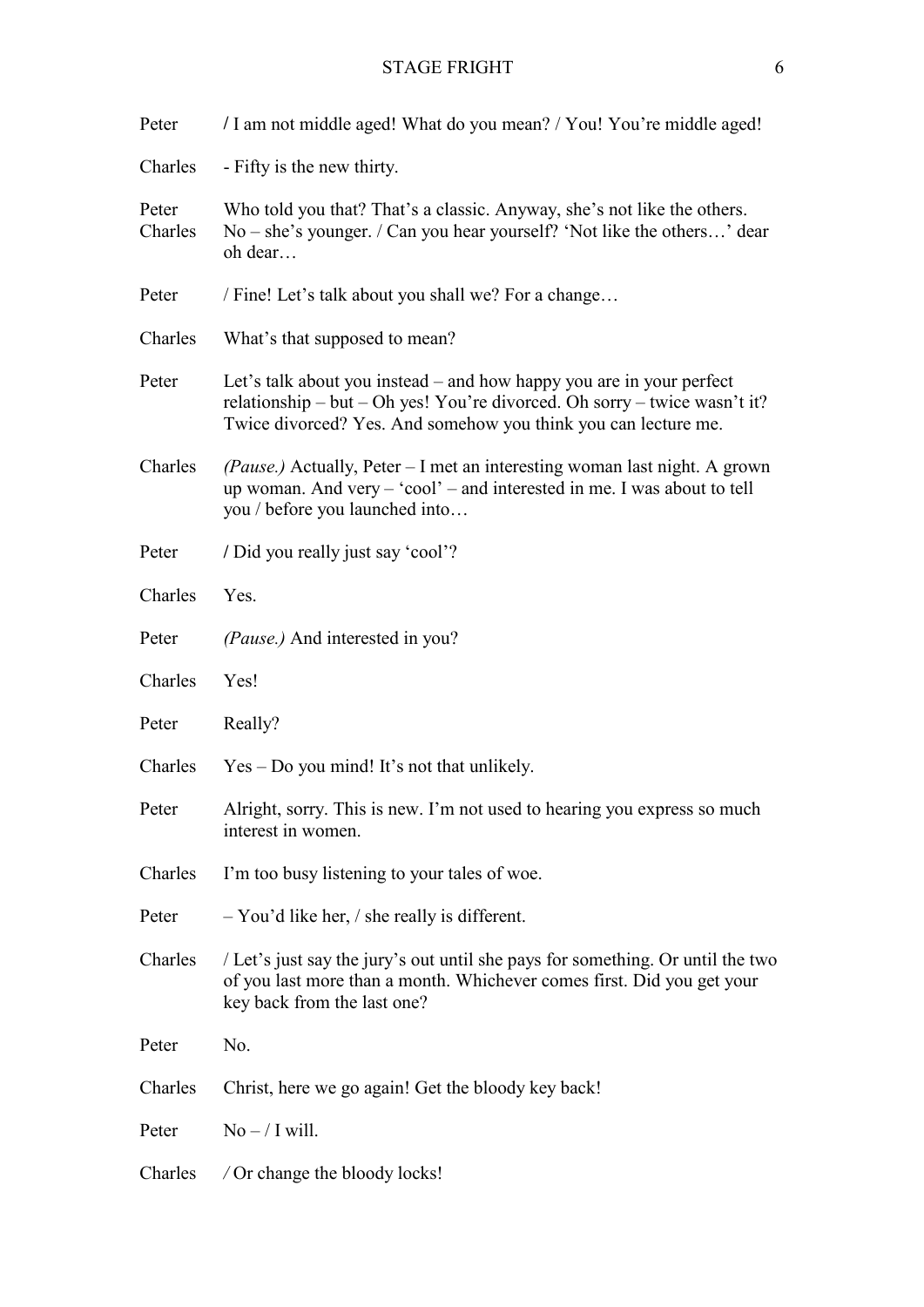| Peter            | / I am not middle aged! What do you mean? / You! You're middle aged!                                                                                                                                                |
|------------------|---------------------------------------------------------------------------------------------------------------------------------------------------------------------------------------------------------------------|
| Charles          | - Fifty is the new thirty.                                                                                                                                                                                          |
| Peter<br>Charles | Who told you that? That's a classic. Anyway, she's not like the others.<br>$No - she's younger.$ / Can you hear yourself? 'Not like the others' dear<br>oh dear                                                     |
| Peter            | / Fine! Let's talk about you shall we? For a change                                                                                                                                                                 |
| Charles          | What's that supposed to mean?                                                                                                                                                                                       |
| Peter            | Let's talk about you instead – and how happy you are in your perfect<br>relationship – but – Oh yes! You're divorced. Oh sorry – twice wasn't it?<br>Twice divorced? Yes. And somehow you think you can lecture me. |
| Charles          | (Pause.) Actually, Peter – I met an interesting woman last night. A grown<br>up woman. And very - 'cool' - and interested in me. I was about to tell<br>you / before you launched into                              |
| Peter            | / Did you really just say 'cool'?                                                                                                                                                                                   |
| Charles          | Yes.                                                                                                                                                                                                                |
| Peter            | (Pause.) And interested in you?                                                                                                                                                                                     |
| Charles          | Yes!                                                                                                                                                                                                                |
| Peter            | Really?                                                                                                                                                                                                             |
| Charles          | $Yes - Do$ you mind! It's not that unlikely.                                                                                                                                                                        |
| Peter            | Alright, sorry. This is new. I'm not used to hearing you express so much<br>interest in women.                                                                                                                      |
| Charles          | I'm too busy listening to your tales of woe.                                                                                                                                                                        |
| Peter            | $-$ You'd like her, / she really is different.                                                                                                                                                                      |
| Charles          | / Let's just say the jury's out until she pays for something. Or until the two<br>of you last more than a month. Whichever comes first. Did you get your<br>key back from the last one?                             |
| Peter            | No.                                                                                                                                                                                                                 |
| Charles          | Christ, here we go again! Get the bloody key back!                                                                                                                                                                  |
| Peter            | $No - / I will.$                                                                                                                                                                                                    |
| Charles          | / Or change the bloody locks!                                                                                                                                                                                       |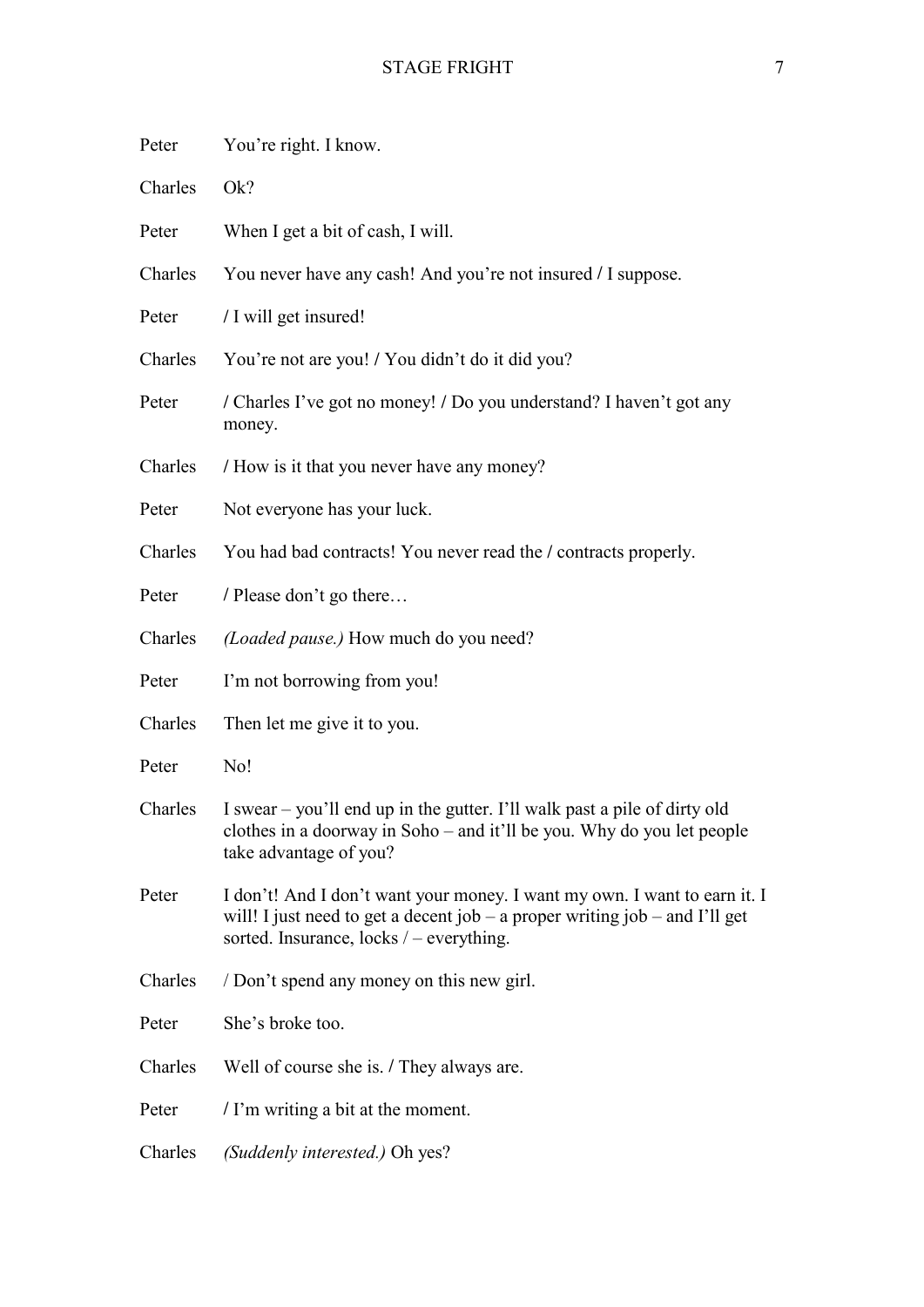| Peter   | You're right. I know.                                                                                                                                                                                  |
|---------|--------------------------------------------------------------------------------------------------------------------------------------------------------------------------------------------------------|
| Charles | Ok?                                                                                                                                                                                                    |
| Peter   | When I get a bit of cash, I will.                                                                                                                                                                      |
| Charles | You never have any cash! And you're not insured / I suppose.                                                                                                                                           |
| Peter   | / I will get insured!                                                                                                                                                                                  |
| Charles | You're not are you! / You didn't do it did you?                                                                                                                                                        |
| Peter   | / Charles I've got no money! / Do you understand? I haven't got any<br>money.                                                                                                                          |
| Charles | / How is it that you never have any money?                                                                                                                                                             |
| Peter   | Not everyone has your luck.                                                                                                                                                                            |
| Charles | You had bad contracts! You never read the / contracts properly.                                                                                                                                        |
| Peter   | / Please don't go there                                                                                                                                                                                |
| Charles | (Loaded pause.) How much do you need?                                                                                                                                                                  |
| Peter   | I'm not borrowing from you!                                                                                                                                                                            |
| Charles | Then let me give it to you.                                                                                                                                                                            |
| Peter   | No!                                                                                                                                                                                                    |
| Charles | I swear – you'll end up in the gutter. I'll walk past a pile of dirty old<br>clothes in a doorway in Soho – and it'll be you. Why do you let people<br>take advantage of you?                          |
| Peter   | I don't! And I don't want your money. I want my own. I want to earn it. I<br>will! I just need to get a decent job – a proper writing job – and I'll get<br>sorted. Insurance, locks $/$ – everything. |
| Charles | / Don't spend any money on this new girl.                                                                                                                                                              |
| Peter   | She's broke too.                                                                                                                                                                                       |
| Charles | Well of course she is. / They always are.                                                                                                                                                              |
| Peter   | / I'm writing a bit at the moment.                                                                                                                                                                     |
| Charles | (Suddenly interested.) Oh yes?                                                                                                                                                                         |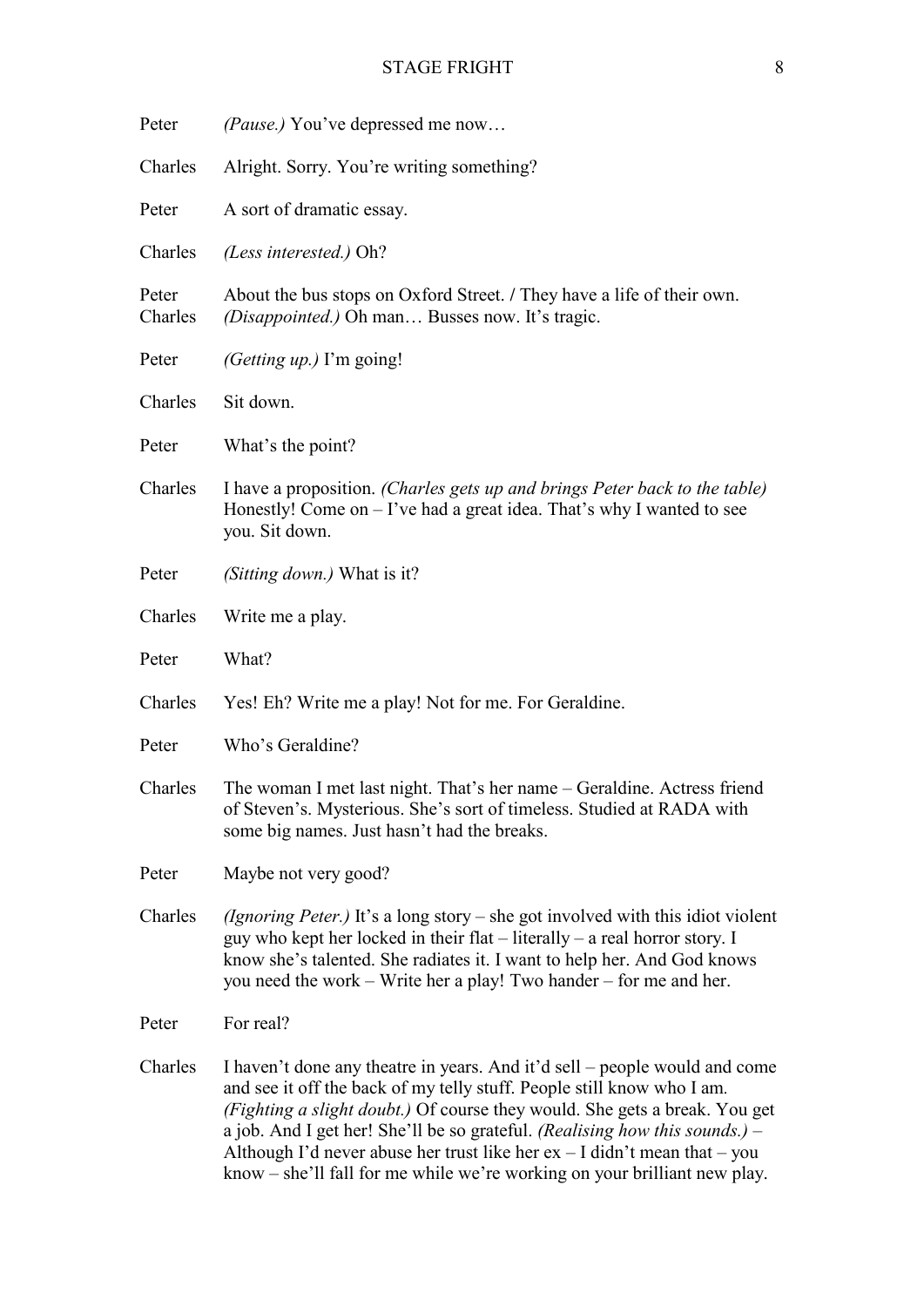| Peter            | <i>(Pause.)</i> You've depressed me now                                                                                                                                                                                                                                                                                                                                                                                                                                         |
|------------------|---------------------------------------------------------------------------------------------------------------------------------------------------------------------------------------------------------------------------------------------------------------------------------------------------------------------------------------------------------------------------------------------------------------------------------------------------------------------------------|
| Charles          | Alright. Sorry. You're writing something?                                                                                                                                                                                                                                                                                                                                                                                                                                       |
| Peter            | A sort of dramatic essay.                                                                                                                                                                                                                                                                                                                                                                                                                                                       |
| Charles          | (Less interested.) Oh?                                                                                                                                                                                                                                                                                                                                                                                                                                                          |
| Peter<br>Charles | About the bus stops on Oxford Street. / They have a life of their own.<br>(Disappointed.) Oh man Busses now. It's tragic.                                                                                                                                                                                                                                                                                                                                                       |
| Peter            | (Getting $up$ .) I'm going!                                                                                                                                                                                                                                                                                                                                                                                                                                                     |
| Charles          | Sit down.                                                                                                                                                                                                                                                                                                                                                                                                                                                                       |
| Peter            | What's the point?                                                                                                                                                                                                                                                                                                                                                                                                                                                               |
| Charles          | I have a proposition. (Charles gets up and brings Peter back to the table)<br>Honestly! Come on $-$ I've had a great idea. That's why I wanted to see<br>you. Sit down.                                                                                                                                                                                                                                                                                                         |
| Peter            | (Sitting down.) What is it?                                                                                                                                                                                                                                                                                                                                                                                                                                                     |
| Charles          | Write me a play.                                                                                                                                                                                                                                                                                                                                                                                                                                                                |
| Peter            | What?                                                                                                                                                                                                                                                                                                                                                                                                                                                                           |
| Charles          | Yes! Eh? Write me a play! Not for me. For Geraldine.                                                                                                                                                                                                                                                                                                                                                                                                                            |
| Peter            | Who's Geraldine?                                                                                                                                                                                                                                                                                                                                                                                                                                                                |
| Charles          | The woman I met last night. That's her name – Geraldine. Actress friend<br>of Steven's. Mysterious. She's sort of timeless. Studied at RADA with<br>some big names. Just hasn't had the breaks.                                                                                                                                                                                                                                                                                 |
| Peter            | Maybe not very good?                                                                                                                                                                                                                                                                                                                                                                                                                                                            |
| Charles          | (Ignoring Peter.) It's a long story – she got involved with this idiot violent<br>guy who kept her locked in their flat $-$ literally $-$ a real horror story. I<br>know she's talented. She radiates it. I want to help her. And God knows<br>you need the work – Write her a play! Two hander – for me and her.                                                                                                                                                               |
| Peter            | For real?                                                                                                                                                                                                                                                                                                                                                                                                                                                                       |
| Charles          | I haven't done any theatre in years. And it'd sell – people would and come<br>and see it off the back of my telly stuff. People still know who I am.<br>(Fighting a slight doubt.) Of course they would. She gets a break. You get<br>a job. And I get her! She'll be so grateful. (Realising how this sounds.) –<br>Although I'd never abuse her trust like her $ex - I$ didn't mean that $-$ you<br>know – she'll fall for me while we're working on your brilliant new play. |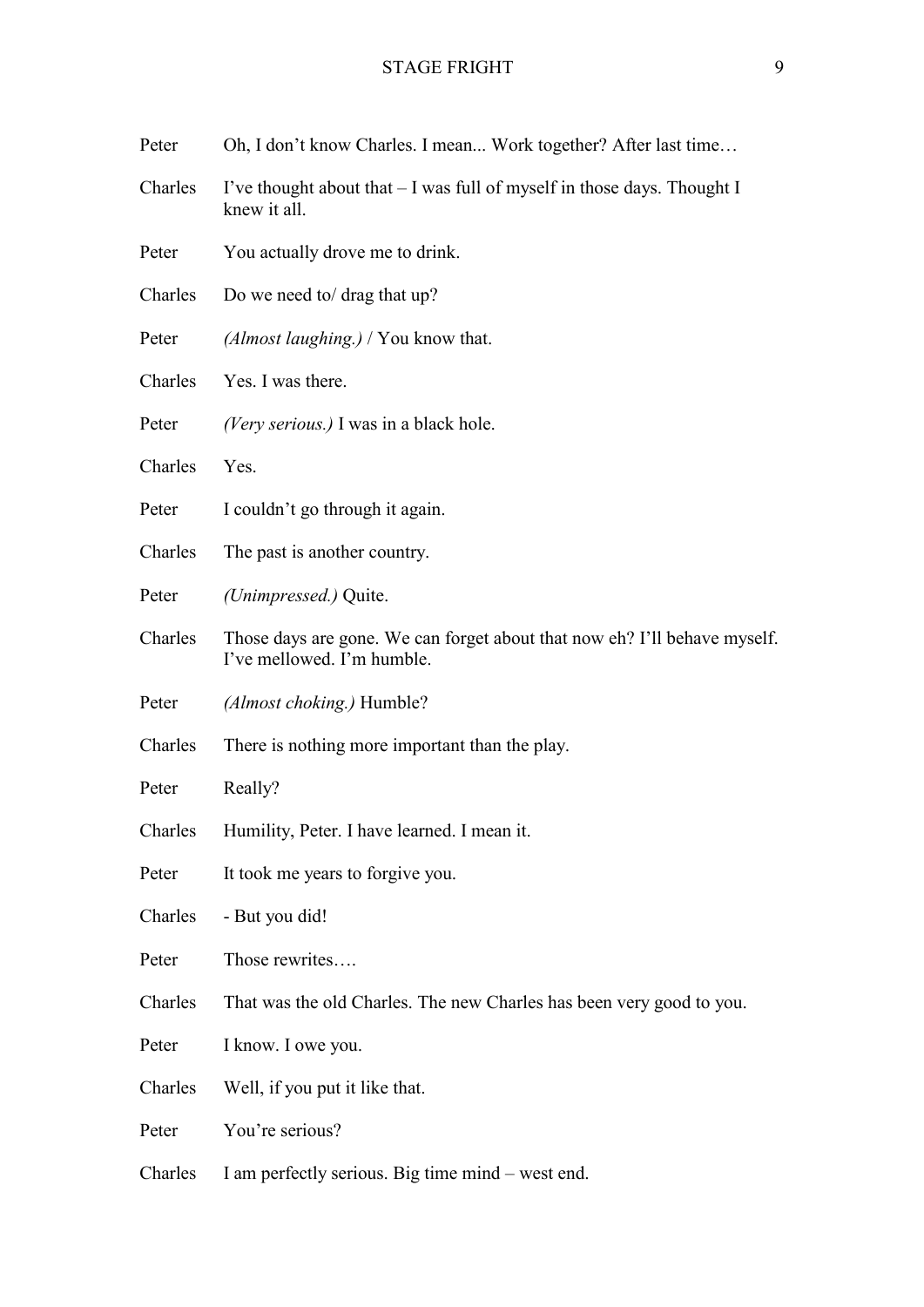| Peter   | Oh, I don't know Charles. I mean Work together? After last time                                         |
|---------|---------------------------------------------------------------------------------------------------------|
| Charles | I've thought about that – I was full of myself in those days. Thought I<br>knew it all.                 |
| Peter   | You actually drove me to drink.                                                                         |
| Charles | Do we need to/ drag that up?                                                                            |
| Peter   | $(Almost \, language) / You know that.$                                                                 |
| Charles | Yes. I was there.                                                                                       |
| Peter   | (Very serious.) I was in a black hole.                                                                  |
| Charles | Yes.                                                                                                    |
| Peter   | I couldn't go through it again.                                                                         |
| Charles | The past is another country.                                                                            |
| Peter   | (Unimpressed.) Quite.                                                                                   |
| Charles | Those days are gone. We can forget about that now eh? I'll behave myself.<br>I've mellowed. I'm humble. |
| Peter   | (Almost choking.) Humble?                                                                               |
| Charles | There is nothing more important than the play.                                                          |
| Peter   | Really?                                                                                                 |
| Charles | Humility, Peter. I have learned. I mean it.                                                             |
| Peter   | It took me years to forgive you.                                                                        |
| Charles | - But you did!                                                                                          |
| Peter   | Those rewrites                                                                                          |
| Charles | That was the old Charles. The new Charles has been very good to you.                                    |
| Peter   | I know. I owe you.                                                                                      |
| Charles | Well, if you put it like that.                                                                          |
| Peter   | You're serious?                                                                                         |
| Charles | I am perfectly serious. Big time mind – west end.                                                       |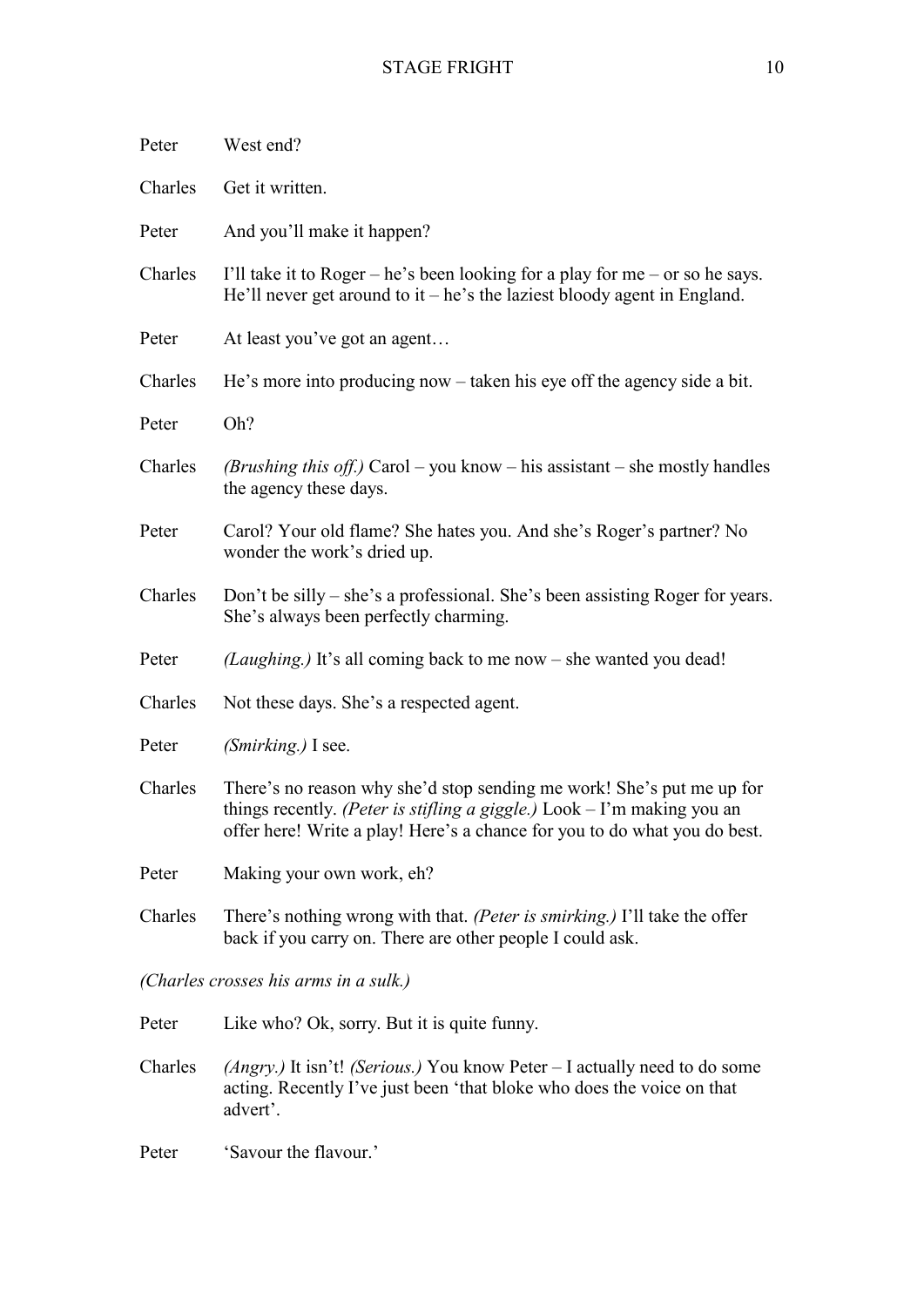| Peter                                 | West end?                                                                                                                                                                                                                       |
|---------------------------------------|---------------------------------------------------------------------------------------------------------------------------------------------------------------------------------------------------------------------------------|
| Charles                               | Get it written.                                                                                                                                                                                                                 |
| Peter                                 | And you'll make it happen?                                                                                                                                                                                                      |
| Charles                               | I'll take it to Roger – he's been looking for a play for me – or so he says.<br>He'll never get around to it – he's the laziest bloody agent in England.                                                                        |
| Peter                                 | At least you've got an agent                                                                                                                                                                                                    |
| Charles                               | He's more into producing now – taken his eye off the agency side a bit.                                                                                                                                                         |
| Peter                                 | Oh?                                                                                                                                                                                                                             |
| Charles                               | <i>(Brushing this off.)</i> Carol – you know – his assistant – she mostly handles<br>the agency these days.                                                                                                                     |
| Peter                                 | Carol? Your old flame? She hates you. And she's Roger's partner? No<br>wonder the work's dried up.                                                                                                                              |
| Charles                               | Don't be silly – she's a professional. She's been assisting Roger for years.<br>She's always been perfectly charming.                                                                                                           |
| Peter                                 | (Laughing.) It's all coming back to me now – she wanted you dead!                                                                                                                                                               |
| Charles                               | Not these days. She's a respected agent.                                                                                                                                                                                        |
| Peter                                 | (Smirking.) I see.                                                                                                                                                                                                              |
| Charles                               | There's no reason why she'd stop sending me work! She's put me up for<br>things recently. (Peter is stifling a giggle.) $Look - I'm$ making you an<br>offer here! Write a play! Here's a chance for you to do what you do best. |
| Peter                                 | Making your own work, eh?                                                                                                                                                                                                       |
| Charles                               | There's nothing wrong with that. (Peter is smirking.) I'll take the offer<br>back if you carry on. There are other people I could ask.                                                                                          |
| (Charles crosses his arms in a sulk.) |                                                                                                                                                                                                                                 |
| Peter                                 | Like who? Ok, sorry. But it is quite funny.                                                                                                                                                                                     |
| Charles                               | <i>(Angry.)</i> It isn't! <i>(Serious.)</i> You know Peter $-$ I actually need to do some<br>acting. Recently I've just been 'that bloke who does the voice on that<br>advert'.                                                 |
| Peter                                 | 'Savour the flavour.'                                                                                                                                                                                                           |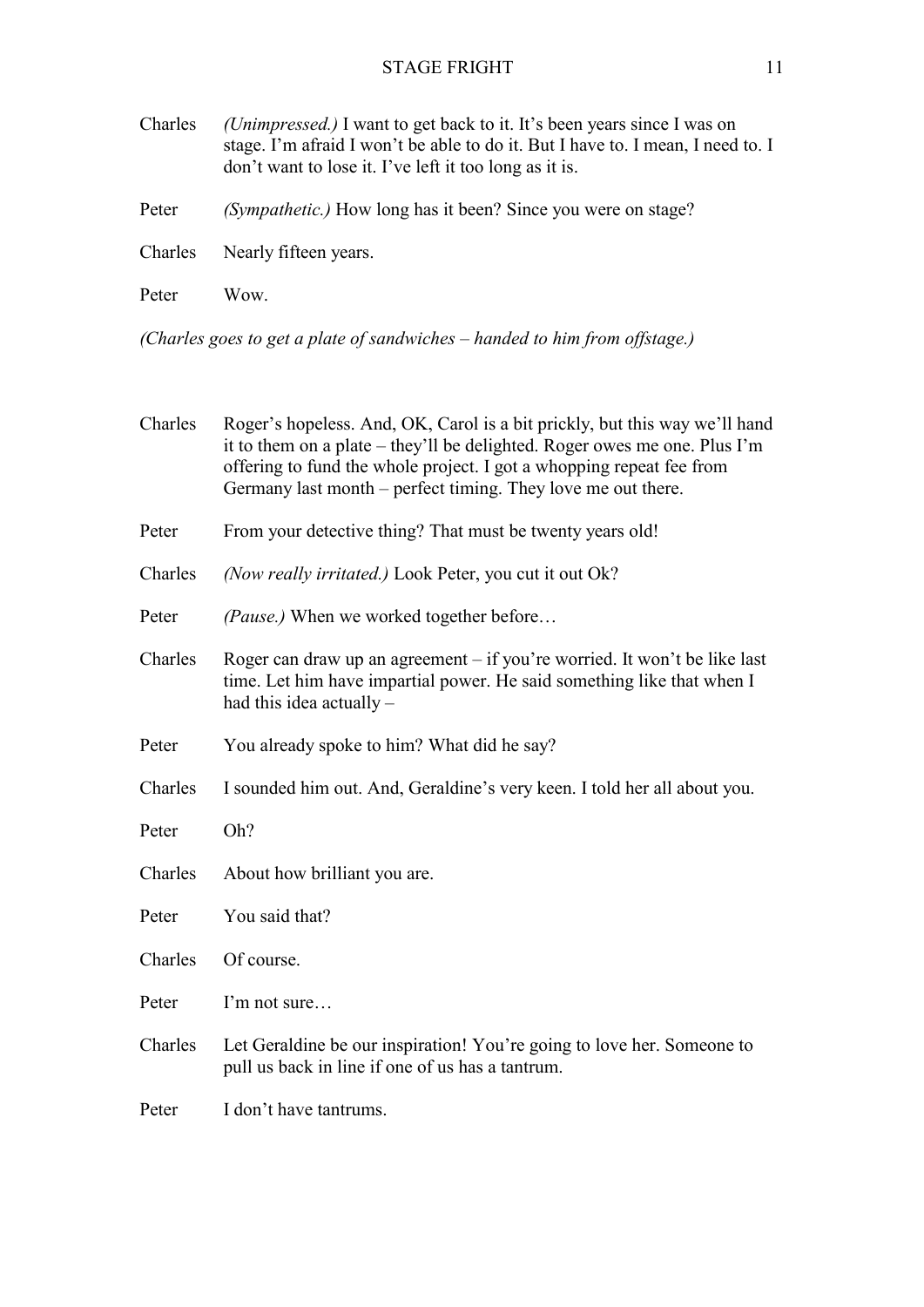| Charles | (Unimpressed.) I want to get back to it. It's been years since I was on<br>stage. I'm afraid I won't be able to do it. But I have to. I mean, I need to. I<br>don't want to lose it. I've left it too long as it is. |
|---------|----------------------------------------------------------------------------------------------------------------------------------------------------------------------------------------------------------------------|
| Peter   | <i>(Sympathetic.)</i> How long has it been? Since you were on stage?                                                                                                                                                 |
| Charles | Nearly fifteen years.                                                                                                                                                                                                |
| Peter   | Wow.                                                                                                                                                                                                                 |

*(Charles goes to get a plate of sandwiches – handed to him from offstage.)*

| Charles | Roger's hopeless. And, OK, Carol is a bit prickly, but this way we'll hand<br>it to them on a plate – they'll be delighted. Roger owes me one. Plus I'm<br>offering to fund the whole project. I got a whopping repeat fee from<br>Germany last month – perfect timing. They love me out there. |
|---------|-------------------------------------------------------------------------------------------------------------------------------------------------------------------------------------------------------------------------------------------------------------------------------------------------|
| Peter   | From your detective thing? That must be twenty years old!                                                                                                                                                                                                                                       |
| Charles | (Now really irritated.) Look Peter, you cut it out Ok?                                                                                                                                                                                                                                          |
| Peter   | (Pause.) When we worked together before                                                                                                                                                                                                                                                         |
| Charles | Roger can draw up an agreement – if you're worried. It won't be like last<br>time. Let him have impartial power. He said something like that when I<br>had this idea actually -                                                                                                                 |
| Peter   | You already spoke to him? What did he say?                                                                                                                                                                                                                                                      |
| Charles | I sounded him out. And, Geraldine's very keen. I told her all about you.                                                                                                                                                                                                                        |
| Peter   | Oh?                                                                                                                                                                                                                                                                                             |
| Charles | About how brilliant you are.                                                                                                                                                                                                                                                                    |
| Peter   | You said that?                                                                                                                                                                                                                                                                                  |
| Charles | Of course.                                                                                                                                                                                                                                                                                      |
| Peter   | I'm not sure                                                                                                                                                                                                                                                                                    |
| Charles | Let Geraldine be our inspiration! You're going to love her. Someone to<br>pull us back in line if one of us has a tantrum.                                                                                                                                                                      |
| Peter   | I don't have tantrums.                                                                                                                                                                                                                                                                          |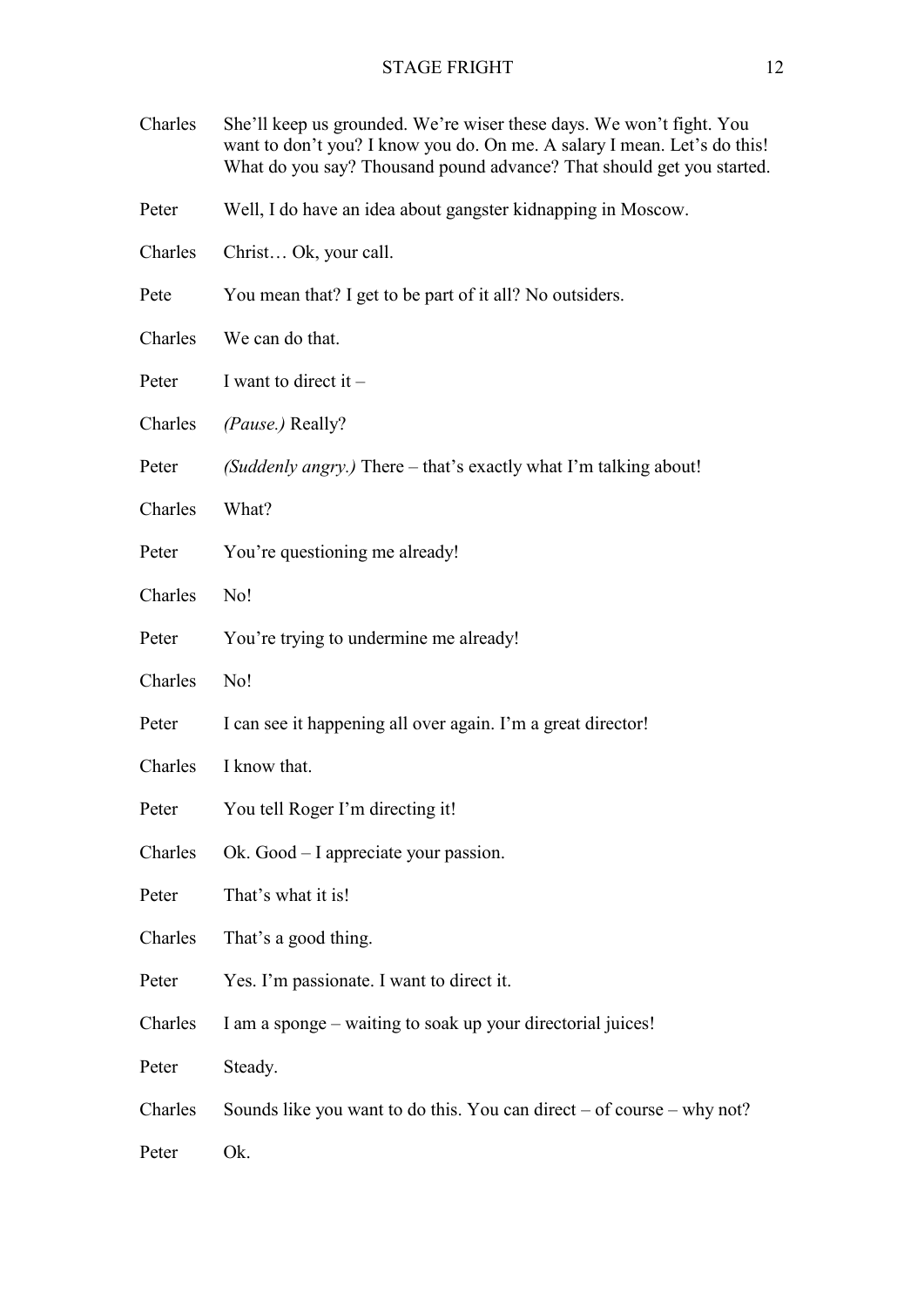| Charles | She'll keep us grounded. We're wiser these days. We won't fight. You<br>want to don't you? I know you do. On me. A salary I mean. Let's do this!<br>What do you say? Thousand pound advance? That should get you started. |
|---------|---------------------------------------------------------------------------------------------------------------------------------------------------------------------------------------------------------------------------|
| Peter   | Well, I do have an idea about gangster kidnapping in Moscow.                                                                                                                                                              |
| Charles | Christ Ok, your call.                                                                                                                                                                                                     |
| Pete    | You mean that? I get to be part of it all? No outsiders.                                                                                                                                                                  |
| Charles | We can do that.                                                                                                                                                                                                           |
| Peter   | I want to direct it $-$                                                                                                                                                                                                   |
| Charles | (Pause.) Really?                                                                                                                                                                                                          |
| Peter   | (Suddenly angry.) There – that's exactly what I'm talking about!                                                                                                                                                          |
| Charles | What?                                                                                                                                                                                                                     |
| Peter   | You're questioning me already!                                                                                                                                                                                            |
| Charles | No!                                                                                                                                                                                                                       |
| Peter   | You're trying to undermine me already!                                                                                                                                                                                    |
| Charles | No!                                                                                                                                                                                                                       |
| Peter   | I can see it happening all over again. I'm a great director!                                                                                                                                                              |
| Charles | I know that.                                                                                                                                                                                                              |
| Peter   | You tell Roger I'm directing it!                                                                                                                                                                                          |
| Charles | Ok. Good – I appreciate your passion.                                                                                                                                                                                     |
| Peter   | That's what it is!                                                                                                                                                                                                        |
| Charles | That's a good thing.                                                                                                                                                                                                      |
| Peter   | Yes. I'm passionate. I want to direct it.                                                                                                                                                                                 |
| Charles | I am a sponge – waiting to soak up your directorial juices!                                                                                                                                                               |
| Peter   | Steady.                                                                                                                                                                                                                   |
| Charles | Sounds like you want to do this. You can direct $-$ of course $-$ why not?                                                                                                                                                |
| Peter   | Ok.                                                                                                                                                                                                                       |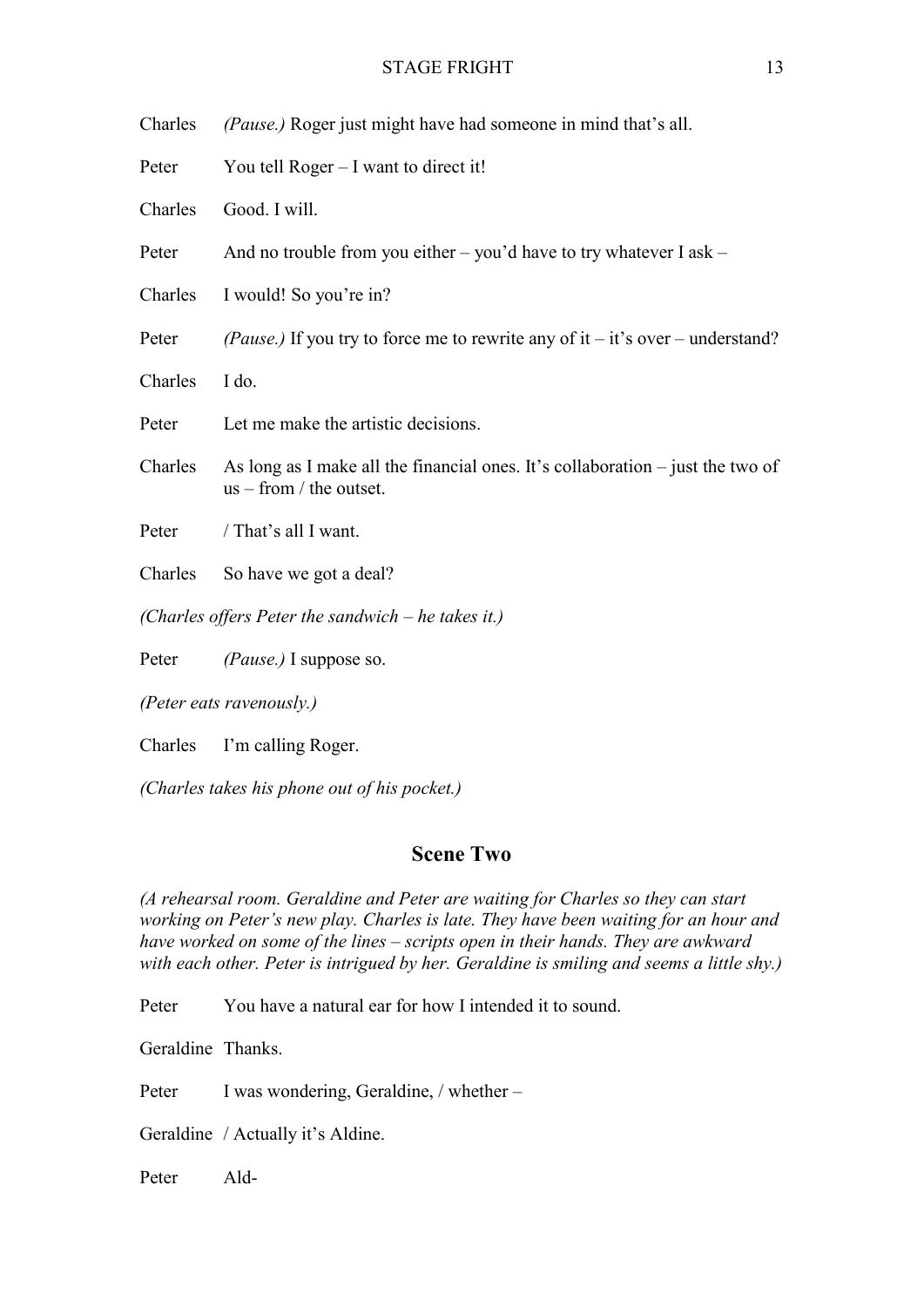Charles *(Pause.)* Roger just might have had someone in mind that's all.

Peter You tell Roger – I want to direct it!

Charles Good. I will.

Peter And no trouble from you either – you'd have to try whatever I ask –

Charles I would! So you're in?

Peter *(Pause.)* If you try to force me to rewrite any of it – it's over – understand?

Charles I do.

- Peter Let me make the artistic decisions.
- Charles As long as I make all the financial ones. It's collaboration  $-$  just the two of  $us - from / the outset.$

Peter / That's all I want.

- Charles So have we got a deal?
- *(Charles offers Peter the sandwich he takes it.)*

Peter *(Pause.)* I suppose so.

*(Peter eats ravenously.)*

Charles I'm calling Roger.

*(Charles takes his phone out of his pocket.)*

## **Scene Two**

*(A rehearsal room. Geraldine and Peter are waiting for Charles so they can start working on Peter's new play. Charles is late. They have been waiting for an hour and have worked on some of the lines – scripts open in their hands. They are awkward with each other. Peter is intrigued by her. Geraldine is smiling and seems a little shy.)*

Peter You have a natural ear for how I intended it to sound.

Geraldine Thanks.

Peter I was wondering, Geraldine, / whether –

Geraldine / Actually it's Aldine.

Peter Ald-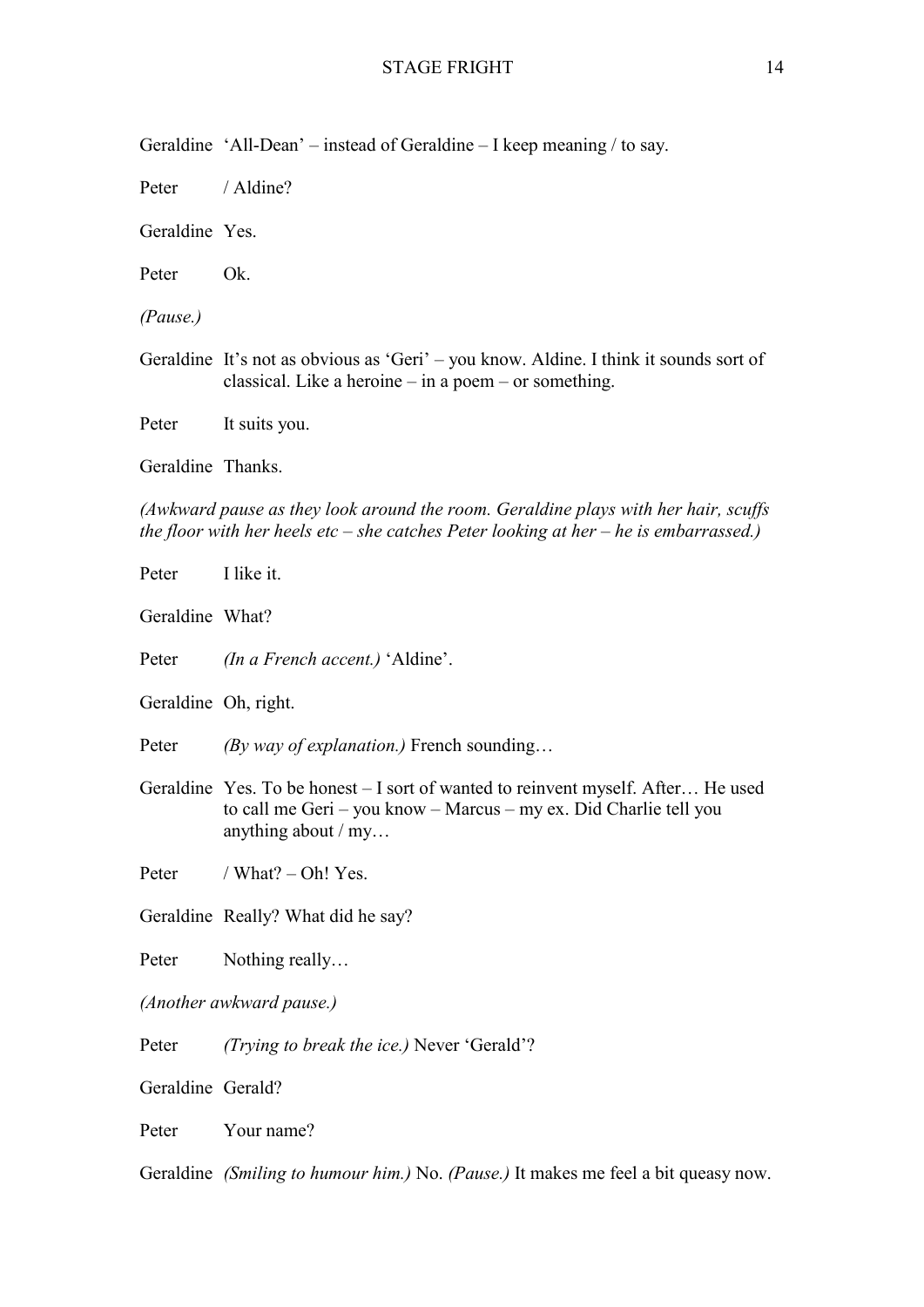Geraldine 'All-Dean' – instead of Geraldine – I keep meaning / to say.

Peter / Aldine?

Geraldine Yes.

Peter Ok.

*(Pause.)*

Geraldine It's not as obvious as 'Geri' – you know. Aldine. I think it sounds sort of classical. Like a heroine – in a poem – or something.

Peter It suits you.

Geraldine Thanks.

*(Awkward pause as they look around the room. Geraldine plays with her hair, scuffs the floor with her heels etc – she catches Peter looking at her – he is embarrassed.)*

| Peter                    | I like it.                                                                                                                                                                    |  |
|--------------------------|-------------------------------------------------------------------------------------------------------------------------------------------------------------------------------|--|
| Geraldine What?          |                                                                                                                                                                               |  |
| Peter                    | <i>(In a French accent.)</i> 'Aldine'.                                                                                                                                        |  |
| Geraldine Oh, right.     |                                                                                                                                                                               |  |
| Peter                    | (By way of explanation.) French sounding                                                                                                                                      |  |
|                          | Geraldine Yes. To be honest – I sort of wanted to reinvent myself. After He used<br>to call me Geri - you know - Marcus - my ex. Did Charlie tell you<br>anything about $/my$ |  |
| Peter                    | / What? $-$ Oh! Yes.                                                                                                                                                          |  |
|                          | Geraldine Really? What did he say?                                                                                                                                            |  |
| Peter                    | Nothing really                                                                                                                                                                |  |
| (Another awkward pause.) |                                                                                                                                                                               |  |
| Peter                    | (Trying to break the ice.) Never 'Gerald'?                                                                                                                                    |  |
| Geraldine Gerald?        |                                                                                                                                                                               |  |
| Peter                    | Your name?                                                                                                                                                                    |  |
|                          | Geraldine (Smiling to humour him.) No. (Pause.) It makes me feel a bit queasy now.                                                                                            |  |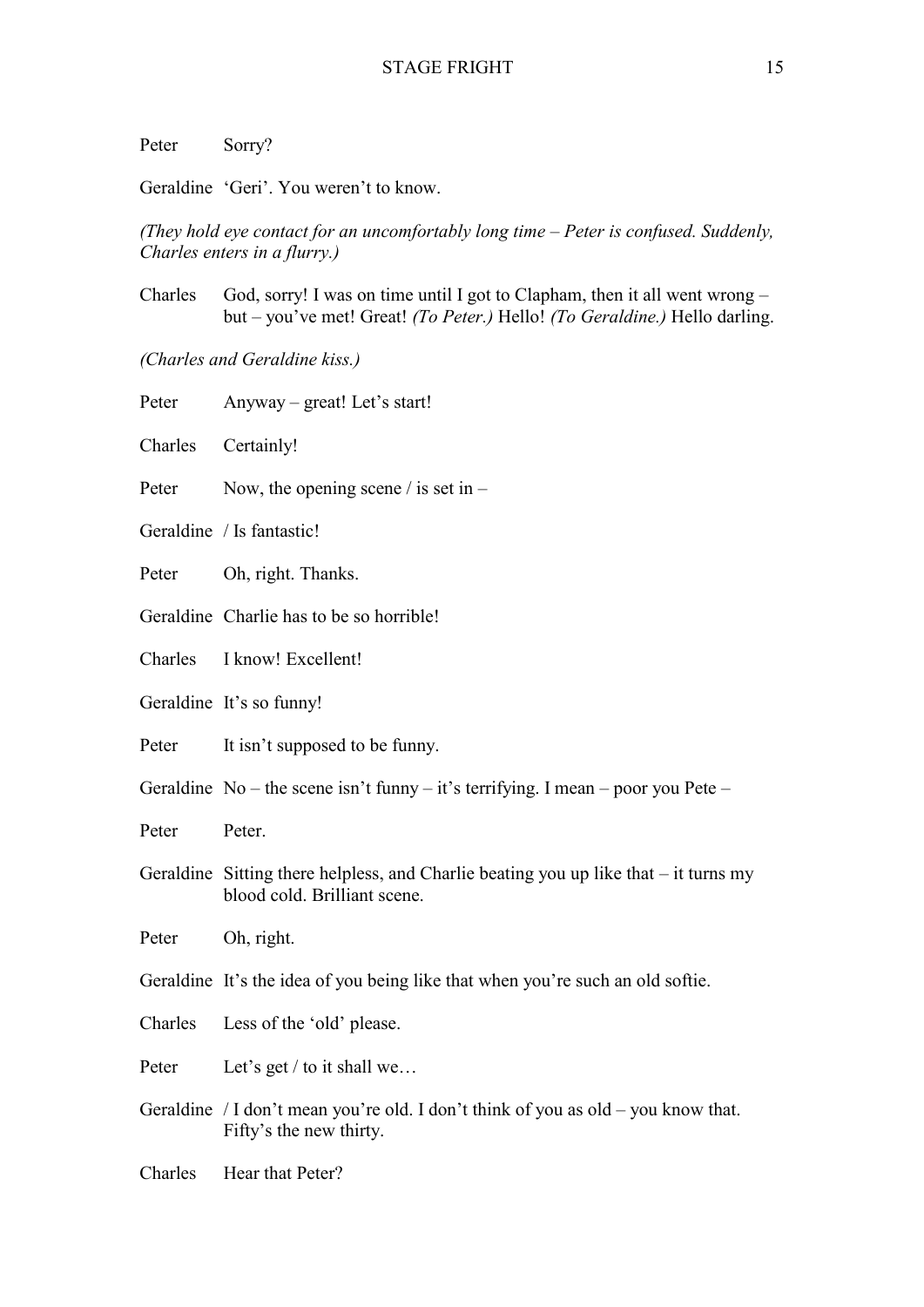Peter Sorry?

Geraldine 'Geri'. You weren't to know.

*(They hold eye contact for an uncomfortably long time – Peter is confused. Suddenly, Charles enters in a flurry.)*

Charles God, sorry! I was on time until I got to Clapham, then it all went wrong – but – you've met! Great! *(To Peter.)* Hello! *(To Geraldine.)* Hello darling.

*(Charles and Geraldine kiss.)*

| Peter   | Anyway - great! Let's start!                                                                                           |
|---------|------------------------------------------------------------------------------------------------------------------------|
| Charles | Certainly!                                                                                                             |
| Peter   | Now, the opening scene / is set in $-$                                                                                 |
|         | Geraldine / Is fantastic!                                                                                              |
| Peter   | Oh, right. Thanks.                                                                                                     |
|         | Geraldine Charlie has to be so horrible!                                                                               |
| Charles | I know! Excellent!                                                                                                     |
|         | Geraldine It's so funny!                                                                                               |
| Peter   | It isn't supposed to be funny.                                                                                         |
|         | Geraldine No – the scene isn't funny – it's terrifying. I mean – poor you Pete –                                       |
| Peter   | Peter.                                                                                                                 |
|         | Geraldine Sitting there helpless, and Charlie beating you up like that $-$ it turns my<br>blood cold. Brilliant scene. |
| Peter   | Oh, right.                                                                                                             |
|         | Geraldine It's the idea of you being like that when you're such an old softie.                                         |
| Charles | Less of the 'old' please.                                                                                              |
| Peter   | Let's get / to it shall we                                                                                             |
|         | Geraldine / I don't mean you're old. I don't think of you as old – you know that.<br>Fifty's the new thirty.           |
| Charles | Hear that Peter?                                                                                                       |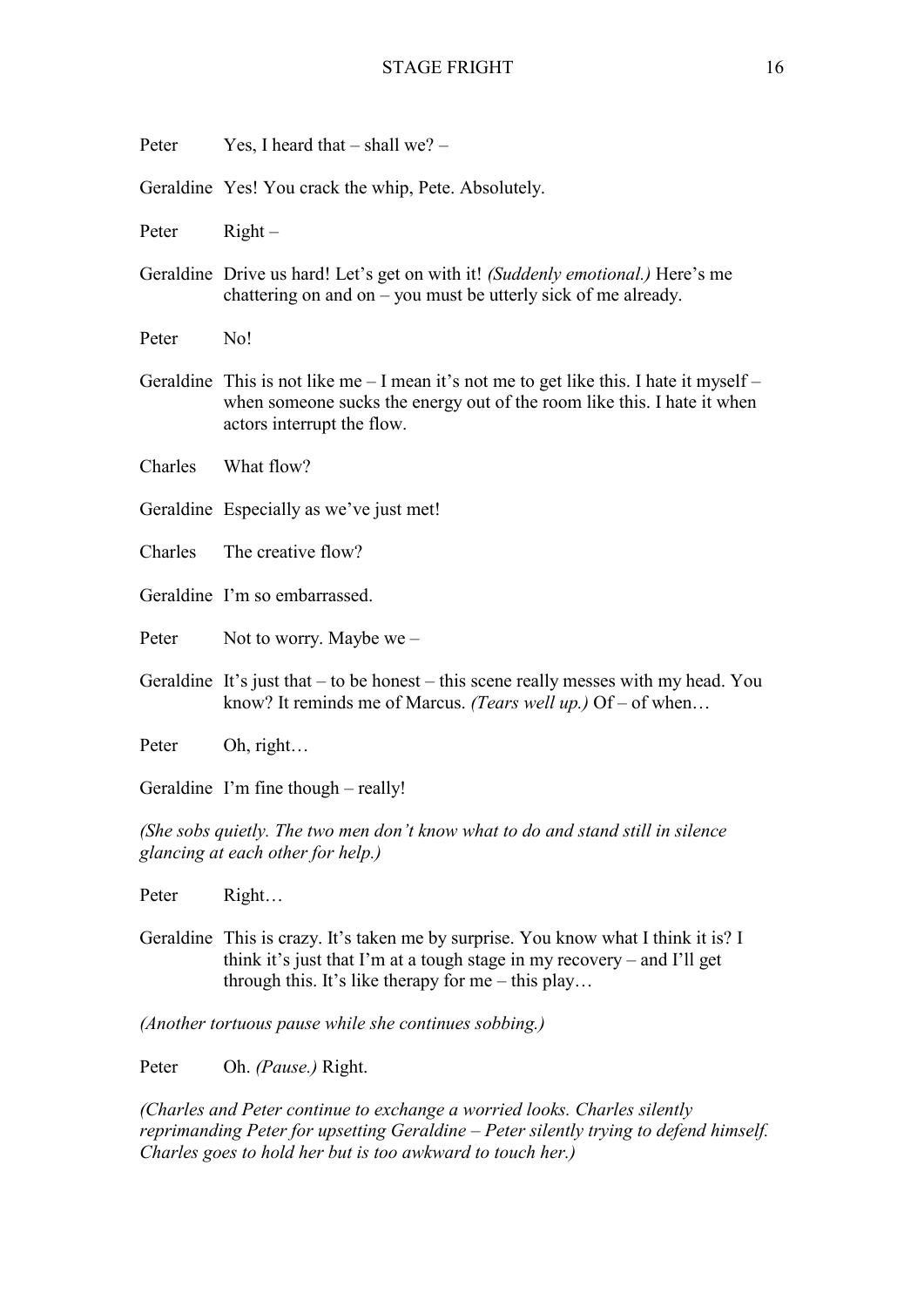| Peter                                                                                                                | Yes, I heard that $-$ shall we? $-$                                                                                                                                                                 |
|----------------------------------------------------------------------------------------------------------------------|-----------------------------------------------------------------------------------------------------------------------------------------------------------------------------------------------------|
|                                                                                                                      | Geraldine Yes! You crack the whip, Pete. Absolutely.                                                                                                                                                |
| Peter                                                                                                                | $Right -$                                                                                                                                                                                           |
|                                                                                                                      | Geraldine Drive us hard! Let's get on with it! (Suddenly emotional.) Here's me<br>chattering on and on $-$ you must be utterly sick of me already.                                                  |
| Peter                                                                                                                | No!                                                                                                                                                                                                 |
|                                                                                                                      | Geraldine This is not like me $-1$ mean it's not me to get like this. I hate it myself $-$<br>when someone sucks the energy out of the room like this. I hate it when<br>actors interrupt the flow. |
| Charles                                                                                                              | What flow?                                                                                                                                                                                          |
|                                                                                                                      | Geraldine Especially as we've just met!                                                                                                                                                             |
| Charles                                                                                                              | The creative flow?                                                                                                                                                                                  |
|                                                                                                                      | Geraldine I'm so embarrassed.                                                                                                                                                                       |
| Peter                                                                                                                | Not to worry. Maybe we $-$                                                                                                                                                                          |
|                                                                                                                      | Geraldine It's just that $-$ to be honest $-$ this scene really messes with my head. You<br>know? It reminds me of Marcus. (Tears well up.) Of – of when                                            |
| Peter                                                                                                                | Oh, right                                                                                                                                                                                           |
|                                                                                                                      | Geraldine I'm fine though – really!                                                                                                                                                                 |
| (She sobs quietly. The two men don't know what to do and stand still in silence<br>glancing at each other for help.) |                                                                                                                                                                                                     |
| Peter                                                                                                                | Right                                                                                                                                                                                               |
|                                                                                                                      | Geraldine This is crazy. It's taken me by surprise. You know what I think it is? I                                                                                                                  |

think it's just that I'm at a tough stage in my recovery – and I'll get through this. It's like therapy for me – this play…

*(Another tortuous pause while she continues sobbing.)*

Peter Oh. *(Pause.)* Right.

*(Charles and Peter continue to exchange a worried looks. Charles silently reprimanding Peter for upsetting Geraldine – Peter silently trying to defend himself. Charles goes to hold her but is too awkward to touch her.)*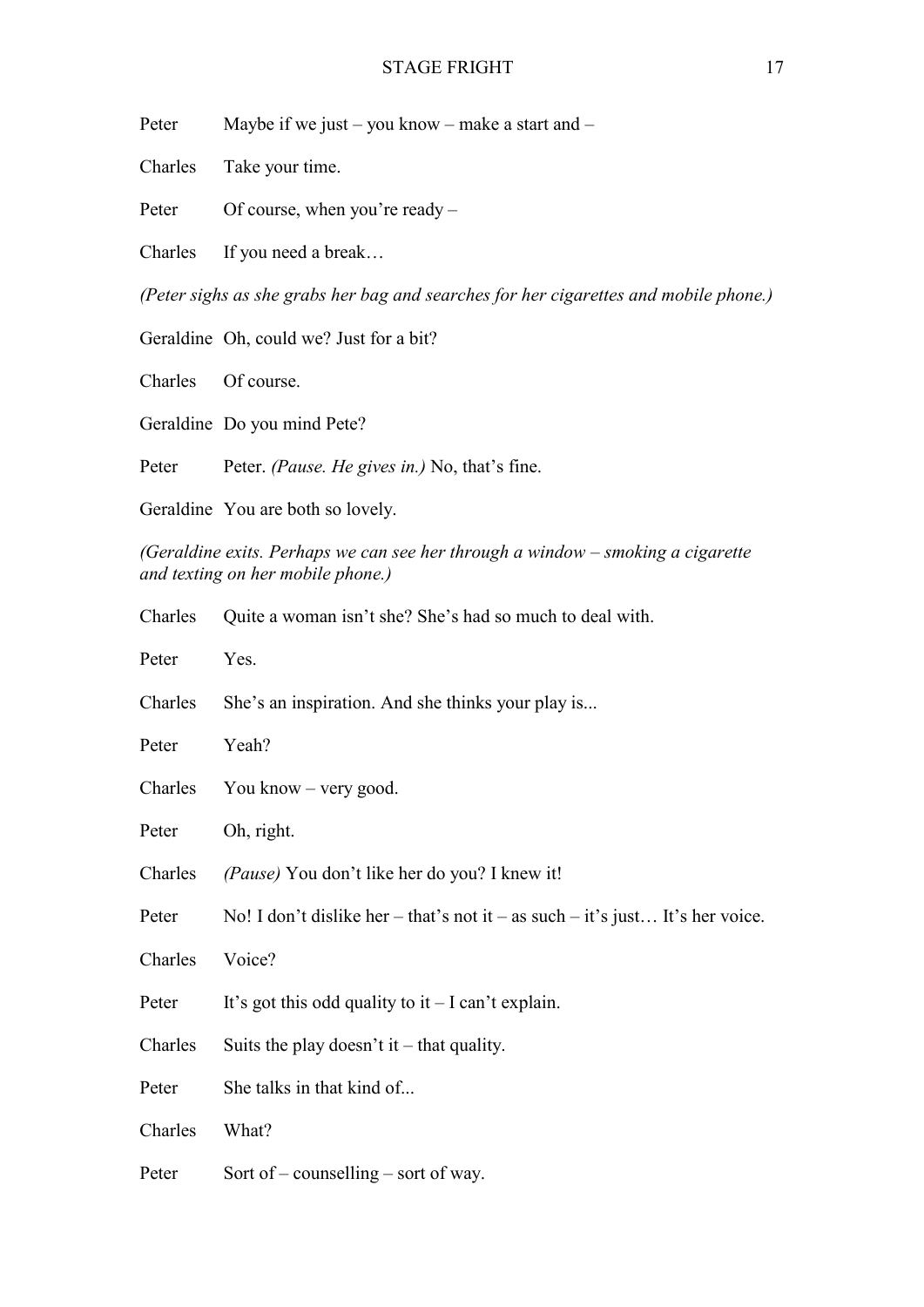Peter Maybe if we just – you know – make a start and –

Charles Take your time.

Peter Of course, when you're ready –

Charles If you need a break…

*(Peter sighs as she grabs her bag and searches for her cigarettes and mobile phone.)*

Geraldine Oh, could we? Just for a bit?

Charles Of course.

Geraldine Do you mind Pete?

Peter Peter. *(Pause. He gives in.)* No, that's fine.

Geraldine You are both so lovely.

*(Geraldine exits. Perhaps we can see her through a window – smoking a cigarette and texting on her mobile phone.)*

| Charles | Quite a woman isn't she? She's had so much to deal with.                      |
|---------|-------------------------------------------------------------------------------|
| Peter   | Yes.                                                                          |
| Charles | She's an inspiration. And she thinks your play is                             |
| Peter   | Yeah?                                                                         |
| Charles | You know $-$ very good.                                                       |
| Peter   | Oh, right.                                                                    |
| Charles | (Pause) You don't like her do you? I knew it!                                 |
| Peter   | No! I don't dislike her – that's not it – as such – it's just It's her voice. |
| Charles | Voice?                                                                        |
| Peter   | It's got this odd quality to it $-I$ can't explain.                           |
| Charles | Suits the play doesn't it – that quality.                                     |
| Peter   | She talks in that kind of                                                     |
| Charles | What?                                                                         |
| Peter   | Sort of – counselling – sort of way.                                          |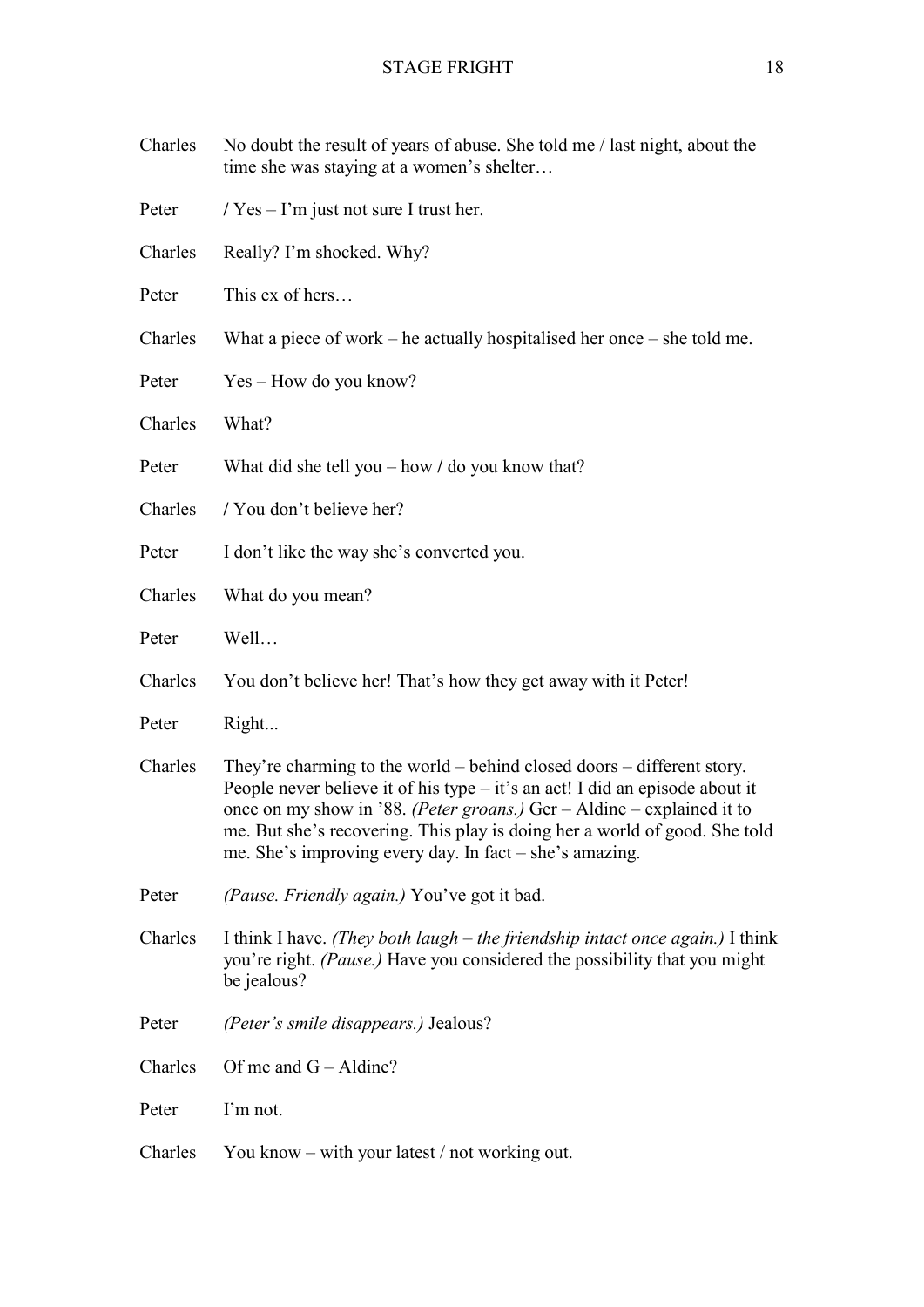| Charles | No doubt the result of years of abuse. She told me / last night, about the<br>time she was staying at a women's shelter                                                                                                                                                                                                                                                     |
|---------|-----------------------------------------------------------------------------------------------------------------------------------------------------------------------------------------------------------------------------------------------------------------------------------------------------------------------------------------------------------------------------|
| Peter   | $\frac{1}{2}$ Yes – I'm just not sure I trust her.                                                                                                                                                                                                                                                                                                                          |
| Charles | Really? I'm shocked. Why?                                                                                                                                                                                                                                                                                                                                                   |
| Peter   | This ex of hers                                                                                                                                                                                                                                                                                                                                                             |
| Charles | What a piece of work – he actually hospitalised her once – she told me.                                                                                                                                                                                                                                                                                                     |
| Peter   | Yes – How do you know?                                                                                                                                                                                                                                                                                                                                                      |
| Charles | What?                                                                                                                                                                                                                                                                                                                                                                       |
| Peter   | What did she tell you $-$ how $/$ do you know that?                                                                                                                                                                                                                                                                                                                         |
| Charles | / You don't believe her?                                                                                                                                                                                                                                                                                                                                                    |
| Peter   | I don't like the way she's converted you.                                                                                                                                                                                                                                                                                                                                   |
| Charles | What do you mean?                                                                                                                                                                                                                                                                                                                                                           |
| Peter   | Well                                                                                                                                                                                                                                                                                                                                                                        |
| Charles | You don't believe her! That's how they get away with it Peter!                                                                                                                                                                                                                                                                                                              |
| Peter   | Right                                                                                                                                                                                                                                                                                                                                                                       |
| Charles | They're charming to the world – behind closed doors – different story.<br>People never believe it of his type - it's an act! I did an episode about it<br>once on my show in '88. (Peter groans.) Ger – Aldine – explained it to<br>me. But she's recovering. This play is doing her a world of good. She told<br>me. She's improving every day. In fact $-$ she's amazing. |
| Peter   | (Pause. Friendly again.) You've got it bad.                                                                                                                                                                                                                                                                                                                                 |
| Charles | I think I have. (They both laugh $-$ the friendship intact once again.) I think<br>you're right. (Pause.) Have you considered the possibility that you might<br>be jealous?                                                                                                                                                                                                 |
| Peter   | (Peter's smile disappears.) Jealous?                                                                                                                                                                                                                                                                                                                                        |
| Charles | Of me and $G -$ Aldine?                                                                                                                                                                                                                                                                                                                                                     |
| Peter   | I'm not.                                                                                                                                                                                                                                                                                                                                                                    |
| Charles | You know – with your latest / not working out.                                                                                                                                                                                                                                                                                                                              |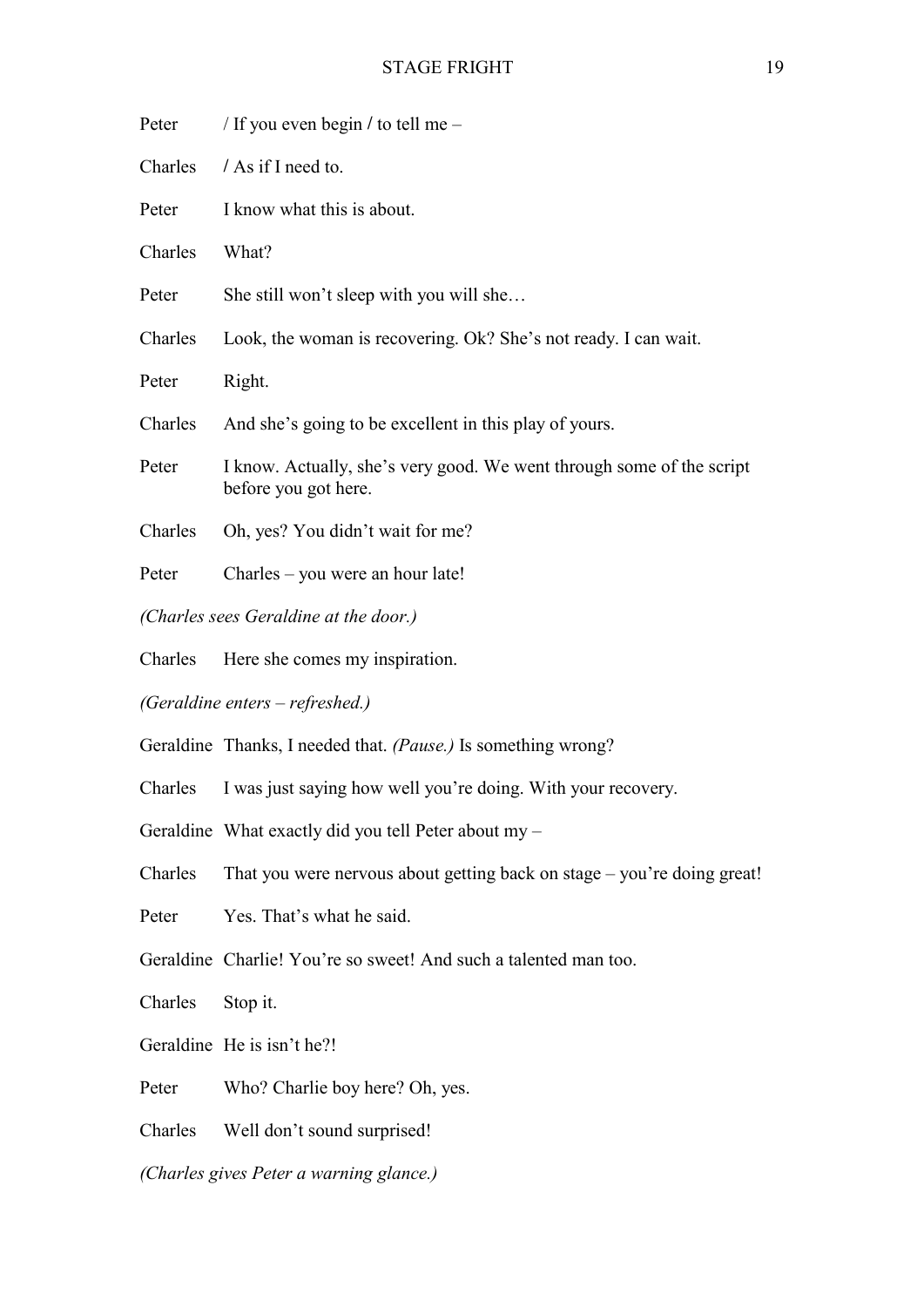| Peter                                   | / If you even begin / to tell me –                                                            |  |
|-----------------------------------------|-----------------------------------------------------------------------------------------------|--|
| Charles                                 | / As if I need to.                                                                            |  |
| Peter                                   | I know what this is about.                                                                    |  |
| Charles                                 | What?                                                                                         |  |
| Peter                                   | She still won't sleep with you will she                                                       |  |
| Charles                                 | Look, the woman is recovering. Ok? She's not ready. I can wait.                               |  |
| Peter                                   | Right.                                                                                        |  |
| Charles                                 | And she's going to be excellent in this play of yours.                                        |  |
| Peter                                   | I know. Actually, she's very good. We went through some of the script<br>before you got here. |  |
| Charles                                 | Oh, yes? You didn't wait for me?                                                              |  |
| Peter                                   | Charles – you were an hour late!                                                              |  |
| (Charles sees Geraldine at the door.)   |                                                                                               |  |
| Charles                                 | Here she comes my inspiration.                                                                |  |
| (Geraldine enters – refreshed.)         |                                                                                               |  |
|                                         | Geraldine Thanks, I needed that. (Pause.) Is something wrong?                                 |  |
| Charles                                 | I was just saying how well you're doing. With your recovery.                                  |  |
|                                         | Geraldine What exactly did you tell Peter about my -                                          |  |
| Charles                                 | That you were nervous about getting back on stage – you're doing great!                       |  |
| Peter                                   | Yes. That's what he said.                                                                     |  |
|                                         | Geraldine Charlie! You're so sweet! And such a talented man too.                              |  |
| Charles                                 | Stop it.                                                                                      |  |
|                                         | Geraldine He is isn't he?!                                                                    |  |
| Peter                                   | Who? Charlie boy here? Oh, yes.                                                               |  |
| Charles                                 | Well don't sound surprised!                                                                   |  |
| (Charles gives Peter a warning glance.) |                                                                                               |  |